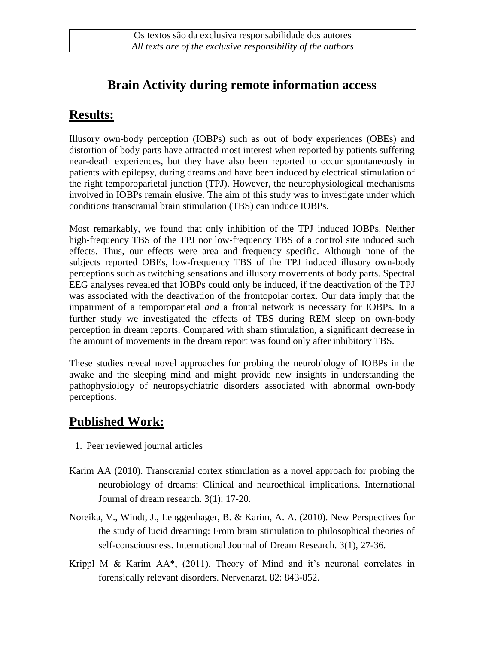## **Brain Activity during remote information access**

#### **Results:**

Illusory own-body perception (IOBPs) such as out of body experiences (OBEs) and distortion of body parts have attracted most interest when reported by patients suffering near-death experiences, but they have also been reported to occur spontaneously in patients with epilepsy, during dreams and have been induced by electrical stimulation of the right temporoparietal junction (TPJ). However, the neurophysiological mechanisms involved in IOBPs remain elusive. The aim of this study was to investigate under which conditions transcranial brain stimulation (TBS) can induce IOBPs.

Most remarkably, we found that only inhibition of the TPJ induced IOBPs. Neither high-frequency TBS of the TPJ nor low-frequency TBS of a control site induced such effects. Thus, our effects were area and frequency specific. Although none of the subjects reported OBEs, low-frequency TBS of the TPJ induced illusory own-body perceptions such as twitching sensations and illusory movements of body parts. Spectral EEG analyses revealed that IOBPs could only be induced, if the deactivation of the TPJ was associated with the deactivation of the frontopolar cortex. Our data imply that the impairment of a temporoparietal *and* a frontal network is necessary for IOBPs. In a further study we investigated the effects of TBS during REM sleep on own-body perception in dream reports. Compared with sham stimulation, a significant decrease in the amount of movements in the dream report was found only after inhibitory TBS.

These studies reveal novel approaches for probing the neurobiology of IOBPs in the awake and the sleeping mind and might provide new insights in understanding the pathophysiology of neuropsychiatric disorders associated with abnormal own-body perceptions.

# **Published Work:**

- 1. Peer reviewed journal articles
- Karim AA (2010). Transcranial cortex stimulation as a novel approach for probing the neurobiology of dreams: Clinical and neuroethical implications. International Journal of dream research. 3(1): 17-20.
- Noreika, V., Windt, J., Lenggenhager, B. & Karim, A. A. (2010). New Perspectives for the study of lucid dreaming: From brain stimulation to philosophical theories of self-consciousness. International Journal of Dream Research. 3(1), 27-36.
- Krippl M & Karim AA\*, (2011). Theory of Mind and it's neuronal correlates in forensically relevant disorders. Nervenarzt. 82: 843-852.